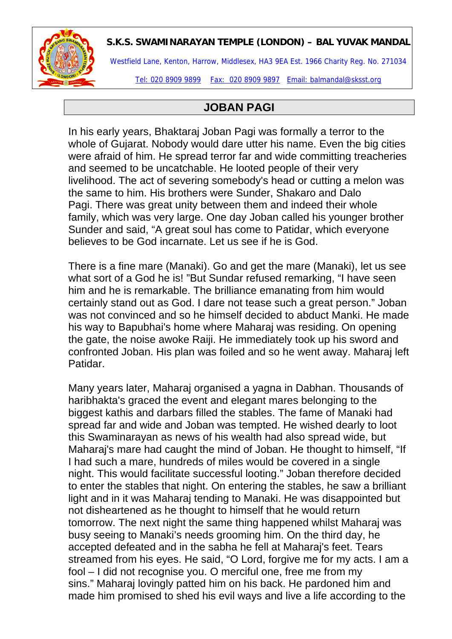

## **S.K.S. SWAMINARAYAN TEMPLE (LONDON) – BAL YUVAK MANDAL**

Westfield Lane, Kenton, Harrow, Middlesex, HA3 9EA Est. 1966 Charity Reg. No. 271034

Tel: 020 8909 9899 Fax: 020 8909 9897 Email: balmandal@sksst.org

## **JOBAN PAGI**

In his early years, Bhaktaraj Joban Pagi was formally a terror to the whole of Gujarat. Nobody would dare utter his name. Even the big cities were afraid of him. He spread terror far and wide committing treacheries and seemed to be uncatchable. He looted people of their very livelihood. The act of severing somebody's head or cutting a melon was the same to him. His brothers were Sunder, Shakaro and Dalo Pagi. There was great unity between them and indeed their whole family, which was very large. One day Joban called his younger brother Sunder and said, "A great soul has come to Patidar, which everyone believes to be God incarnate. Let us see if he is God.

There is a fine mare (Manaki). Go and get the mare (Manaki), let us see what sort of a God he is! "But Sundar refused remarking, "I have seen him and he is remarkable. The brilliance emanating from him would certainly stand out as God. I dare not tease such a great person." Joban was not convinced and so he himself decided to abduct Manki. He made his way to Bapubhai's home where Maharaj was residing. On opening the gate, the noise awoke Raiji. He immediately took up his sword and confronted Joban. His plan was foiled and so he went away. Maharaj left Patidar.

Many years later, Maharaj organised a yagna in Dabhan. Thousands of haribhakta's graced the event and elegant mares belonging to the biggest kathis and darbars filled the stables. The fame of Manaki had spread far and wide and Joban was tempted. He wished dearly to loot this Swaminarayan as news of his wealth had also spread wide, but Maharaj's mare had caught the mind of Joban. He thought to himself, "If I had such a mare, hundreds of miles would be covered in a single night. This would facilitate successful looting." Joban therefore decided to enter the stables that night. On entering the stables, he saw a brilliant light and in it was Maharaj tending to Manaki. He was disappointed but not disheartened as he thought to himself that he would return tomorrow. The next night the same thing happened whilst Maharaj was busy seeing to Manaki's needs grooming him. On the third day, he accepted defeated and in the sabha he fell at Maharaj's feet. Tears streamed from his eyes. He said, "O Lord, forgive me for my acts. I am a fool – I did not recognise you. O merciful one, free me from my sins." Maharaj lovingly patted him on his back. He pardoned him and made him promised to shed his evil ways and live a life according to the